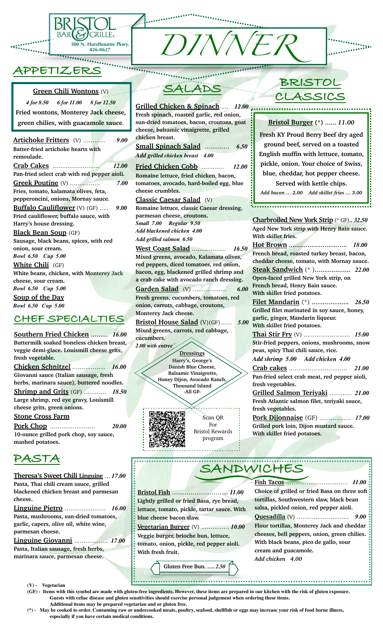



**Green Chili Wontons** (V)

*4 for 8.50 6 for 11.00 8 for 12.50* **Fried wontons, Monterey Jack cheese,** 

**green chilies, with guacamole sauce**.

**Artichoke Fritters** (V) ………… *9.00* **Batter-fried artichoke hearts with remoulade. Crab Cakes** ……………………. *12.00* **Pan-fried select crab with red pepper aioli. Greek Poutine** (V) ……………. *7.00* **Fries, tomato, kalamata olives, feta, pepperoncini, onions, Mornay sauce**. **Buffalo Cauliflower** (V) (GF) ….. *9.00* **Fried cauliflower, buffalo sauce, with Harry's house dressing. Black Bean Soup** (GF) **Sausage, black beans, spices, with red onion, sour cream.**  *Bowl 6.50 Cup 5.00* **White Chili** (GF) **White beans, chicken, with Monterey Jack cheese, sour cream.** *Bowl 6.50 Cup 5.00* **Soup of the Day** *Bowl 6.50 Cup 5.00*

# **CHEF SPECIALTIES**

**Southern Fried Chicken ………** *16.00* **Buttermilk soaked boneless chicken breast, veggie demi-glace. Louismill cheese grits, fresh vegetable. Chicken Schnitzel** ……………… *16.00* **Giovanni sauce (Italian sausage, fresh herbs, marinara sauce), buttered noodles. Shrimp and Grits** (GF) ………… *18.50* **Large shrimp, red eye gravy, Louismill cheese grits, green onions.**

# **Stone Cross Farm**

**Pork Chop** …………………… *20.00* **10-ounce grilled pork chop, soy sauce, mashed potatoes.**

# **PASTA**

**Theresa's Sweet Chili Linguine** … *17.00* **Pasta, Thai chili cream sauce, grilled blackened chicken breast and parmesan cheese. Linguine Pietro** …………………. *16.00* **Pasta, mushrooms, sun-dried tomatoes, garlic, capers, olive oil, white wine, parmesan cheese. Linguine Giovanni** ……………… *17.00* **Pasta, Italian sausage, fresh herbs, marinara sauce, parmesan cheese.**

**(V) - Vegetarian**



**Grilled Chicken & Spinach** …. *12.00* **Fresh spinach, roasted garlic, red onion, sun-dried tomatoes, bacon, croutons, goat cheese, balsamic vinaigrette, grilled chicken breast. Small Spinach Salad** ………… *6.50 Add grilled chicken breast 4.00* **Fried Chicken Cobb** ………… *12.00* **Romaine lettuce, fried chicken, bacon,** 

**tomatoes, avocado, hard-boiled egg, blue cheese crumbles.**

**Classic Caesar Salad** (V) **Romaine lettuce, classic Caesar dressing, parmesan cheese, croutons.** *Small 7.00 Regular 9.50 Add blackened chicken 4.00 Add grilled salmon 6.50*

**West Coast Salad** ……………… *16.50* **Mixed greens, avocado, Kalamata olives, red peppers, diced tomatoes, red onion, bacon, egg, blackened grilled shrimp and a crab cake with avocado ranch dressing.** 

**Garden Salad** (V) ……………… *6.00* **Fresh greens, cucumbers, tomatoes, red onion, carrots, cabbage, croutons, Monterey Jack cheese.** 

**Bristol House Salad** (V)(GF)…… *5.00* **Mixed greens, carrots, red cabbage, cucumbers.** *2.00 with entree´*



For Bristol Rewards program

**With skillet fries.**

**Thai Stir Fry** (V) ……………………. *15.00* **Stir-fried peppers, onions, mushrooms, snow Crab cakes** …………………………. *21.00*

**fresh vegetables. Grilled Salmon Teriyaki** ………… *21.00* **Fresh Atlantic salmon filet, teriyaki sauce, fresh vegetables. Pork Dijonnaise** (GF) …………….. *17.00*

# **SANDWICHES**

**Bristol Fish** ……………………… *11.00* **Lightly grilled or fried Basa, rye bread, lettuce, tomato, pickle, tartar sauce. With blue cheese bacon slaw.**

**Vegetarian Burger** (V) …………… *10.00*

**Veggie burger, brioche bun, lettuce, tomato, onion, pickle, red pepper aioli. With fresh fruit.** 

**Gluten Free Bun. ….** *2.50*

**Fish Tacos** …………………………… *11.00* **Choice of grilled or fried Basa on three soft tortillas, Southwestern slaw, black bean salsa, pickled onion, red pepper aioli. Quesadilla** (V) ………………………. *9.00* **Flour tortillas, Monterey Jack and cheddar cheeses, bell peppers, onion, green chilies. With black beans, pico de gallo, sour cream and guacamole.** *Add chicken 4.00*

**BRISTOL CLASSICS**

**Bristol Burger (\*) ……** *11.00* **Fresh KY Proud Berry Beef dry aged ground beef, served on a toasted English muffin with lettuce, tomato, pickle, onion. Your choice of Swiss, blue, cheddar, hot pepper cheese. Served with kettle chips.** *Add bacon … 2.00 Add skillet fries … 3.00* **Charbroiled New York Strip** (\* GF).. *32.50*

**Aged New York strip with Henry Bain sauce.** 

**Hot Brown ………………………….** *18.00* **French bread, roasted turkey breast, bacon, cheddar cheese, tomato, with Mornay sauce. Steak Sandwich** (\* )**……………….** *22.00* **Open-faced grilled New York strip, on French bread, Henry Bain sauce. With skillet fried potatoes. Filet Mandarin** (\*) **………………..** *26.50* **Grilled filet marinated in soy sauce, honey, garlic, ginger, Mandarin liqueur. With skillet fried potatoes. peas, spicy Thai chili sauce, rice.** *Add shrimp 5.00 Add chicken 4.00* **Pan-fried select crab meat, red pepper aioli, Grilled pork loin, Dijon mustard sauce. With skillet fried potatoes.**

**(GF) - Items with this symbol are made with gluten-free ingredients. However, these items are prepared in our kitchen with the risk of gluten exposure. Guests with celiac disease and gluten sensitivities should exercise personal judgement when ordering these items. Additional items may be prepared vegetarian and or gluten free.** 

**(\*) - May be cooked to order. Consuming raw or undercooked meats, poultry, seafood, shellfish or eggs may increase your risk of food borne illness, especially if you have certain medical conditions.**